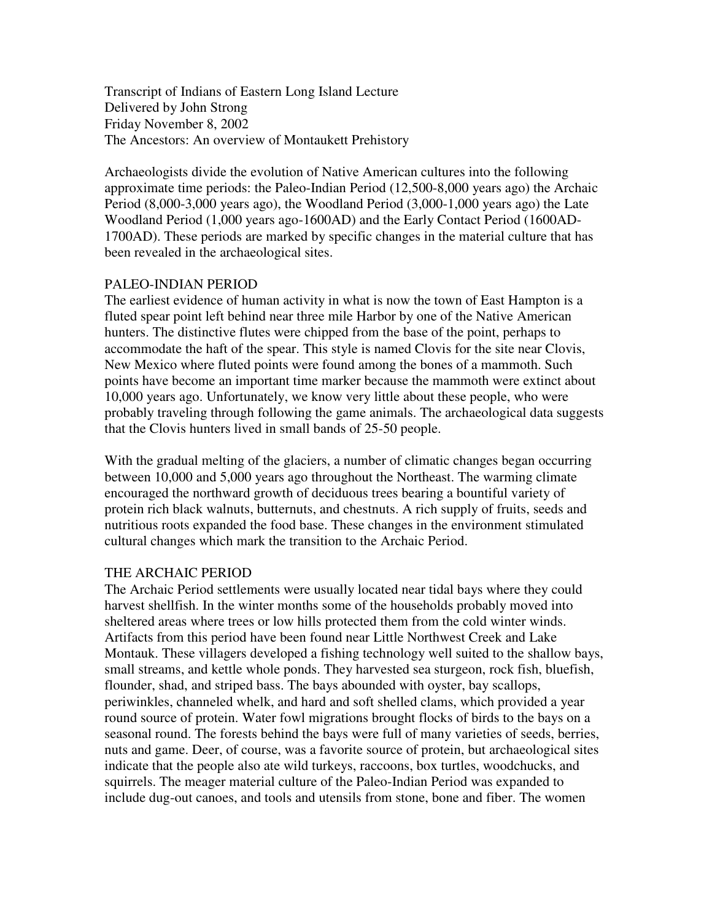Transcript of Indians of Eastern Long Island Lecture Delivered by John Strong Friday November 8, 2002 The Ancestors: An overview of Montaukett Prehistory

Archaeologists divide the evolution of Native American cultures into the following approximate time periods: the Paleo-Indian Period (12,500-8,000 years ago) the Archaic Period (8,000-3,000 years ago), the Woodland Period (3,000-1,000 years ago) the Late Woodland Period (1,000 years ago-1600AD) and the Early Contact Period (1600AD-1700AD). These periods are marked by specific changes in the material culture that has been revealed in the archaeological sites.

# PALEO-INDIAN PERIOD

The earliest evidence of human activity in what is now the town of East Hampton is a fluted spear point left behind near three mile Harbor by one of the Native American hunters. The distinctive flutes were chipped from the base of the point, perhaps to accommodate the haft of the spear. This style is named Clovis for the site near Clovis, New Mexico where fluted points were found among the bones of a mammoth. Such points have become an important time marker because the mammoth were extinct about 10,000 years ago. Unfortunately, we know very little about these people, who were probably traveling through following the game animals. The archaeological data suggests that the Clovis hunters lived in small bands of 25-50 people.

With the gradual melting of the glaciers, a number of climatic changes began occurring between 10,000 and 5,000 years ago throughout the Northeast. The warming climate encouraged the northward growth of deciduous trees bearing a bountiful variety of protein rich black walnuts, butternuts, and chestnuts. A rich supply of fruits, seeds and nutritious roots expanded the food base. These changes in the environment stimulated cultural changes which mark the transition to the Archaic Period.

## THE ARCHAIC PERIOD

The Archaic Period settlements were usually located near tidal bays where they could harvest shellfish. In the winter months some of the households probably moved into sheltered areas where trees or low hills protected them from the cold winter winds. Artifacts from this period have been found near Little Northwest Creek and Lake Montauk. These villagers developed a fishing technology well suited to the shallow bays, small streams, and kettle whole ponds. They harvested sea sturgeon, rock fish, bluefish, flounder, shad, and striped bass. The bays abounded with oyster, bay scallops, periwinkles, channeled whelk, and hard and soft shelled clams, which provided a year round source of protein. Water fowl migrations brought flocks of birds to the bays on a seasonal round. The forests behind the bays were full of many varieties of seeds, berries, nuts and game. Deer, of course, was a favorite source of protein, but archaeological sites indicate that the people also ate wild turkeys, raccoons, box turtles, woodchucks, and squirrels. The meager material culture of the Paleo-Indian Period was expanded to include dug-out canoes, and tools and utensils from stone, bone and fiber. The women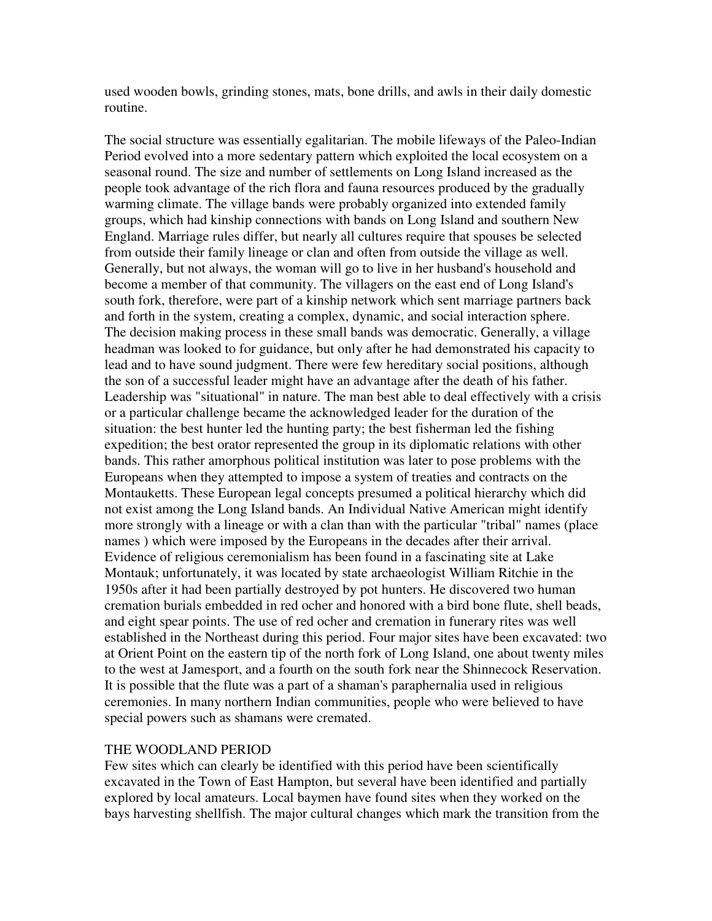used wooden bowls, grinding stones, mats, bone drills, and awls in their daily domestic routine.

The social structure was essentially egalitarian. The mobile lifeways of the Paleo-Indian Period evolved into a more sedentary pattern which exploited the local ecosystem on a seasonal round. The size and number of settlements on Long Island increased as the people took advantage of the rich flora and fauna resources produced by the gradually warming climate. The village bands were probably organized into extended family groups, which had kinship connections with bands on Long Island and southern New England. Marriage rules differ, but nearly all cultures require that spouses be selected from outside their family lineage or clan and often from outside the village as well. Generally, but not always, the woman will go to live in her husband's household and become a member of that community. The villagers on the east end of Long Island's south fork, therefore, were part of a kinship network which sent marriage partners back and forth in the system, creating a complex, dynamic, and social interaction sphere. The decision making process in these small bands was democratic. Generally, a village headman was looked to for guidance, but only after he had demonstrated his capacity to lead and to have sound judgment. There were few hereditary social positions, although the son of a successful leader might have an advantage after the death of his father. Leadership was "situational" in nature. The man best able to deal effectively with a crisis or a particular challenge became the acknowledged leader for the duration of the situation: the best hunter led the hunting party; the best fisherman led the fishing expedition; the best orator represented the group in its diplomatic relations with other bands. This rather amorphous political institution was later to pose problems with the Europeans when they attempted to impose a system of treaties and contracts on the Montauketts. These European legal concepts presumed a political hierarchy which did not exist among the Long Island bands. An Individual Native American might identify more strongly with a lineage or with a clan than with the particular "tribal" names (place names ) which were imposed by the Europeans in the decades after their arrival. Evidence of religious ceremonialism has been found in a fascinating site at Lake Montauk; unfortunately, it was located by state archaeologist William Ritchie in the 1950s after it had been partially destroyed by pot hunters. He discovered two human cremation burials embedded in red ocher and honored with a bird bone flute, shell beads, and eight spear points. The use of red ocher and cremation in funerary rites was well established in the Northeast during this period. Four major sites have been excavated: two at Orient Point on the eastern tip of the north fork of Long Island, one about twenty miles to the west at Jamesport, and a fourth on the south fork near the Shinnecock Reservation. It is possible that the flute was a part of a shaman's paraphernalia used in religious ceremonies. In many northern Indian communities, people who were believed to have special powers such as shamans were cremated.

#### THE WOODLAND PERIOD

Few sites which can clearly be identified with this period have been scientifically excavated in the Town of East Hampton, but several have been identified and partially explored by local amateurs. Local baymen have found sites when they worked on the bays harvesting shellfish. The major cultural changes which mark the transition from the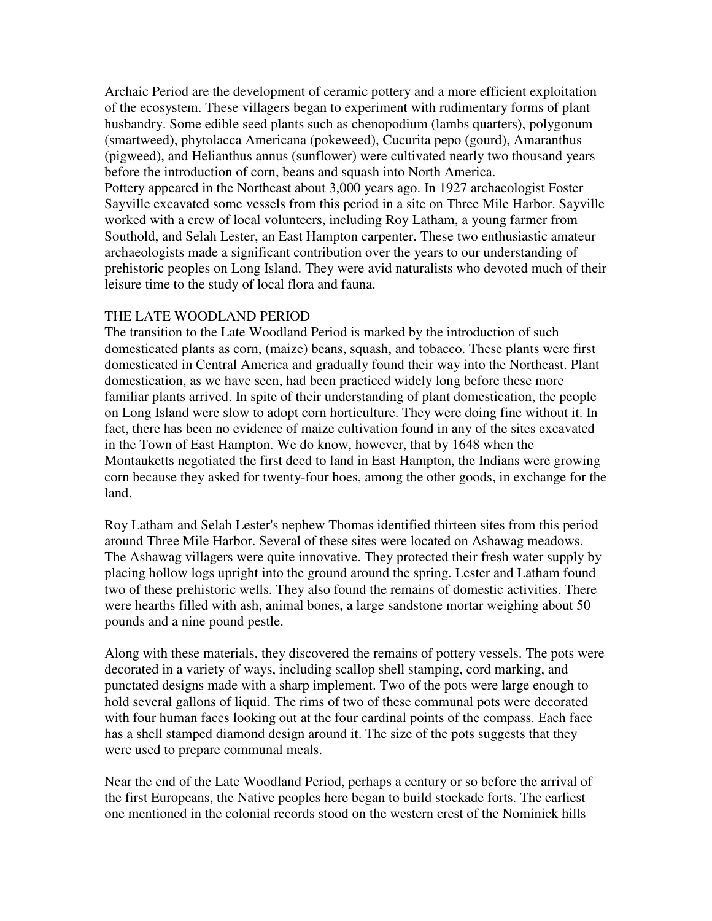Archaic Period are the development of ceramic pottery and a more efficient exploitation of the ecosystem. These villagers began to experiment with rudimentary forms of plant husbandry. Some edible seed plants such as chenopodium (lambs quarters), polygonum (smartweed), phytolacca Americana (pokeweed), Cucurita pepo (gourd), Amaranthus (pigweed), and Helianthus annus (sunflower) were cultivated nearly two thousand years before the introduction of corn, beans and squash into North America. Pottery appeared in the Northeast about 3,000 years ago. In 1927 archaeologist Foster Sayville excavated some vessels from this period in a site on Three Mile Harbor. Sayville worked with a crew of local volunteers, including Roy Latham, a young farmer from Southold, and Selah Lester, an East Hampton carpenter. These two enthusiastic amateur archaeologists made a significant contribution over the years to our understanding of prehistoric peoples on Long Island. They were avid naturalists who devoted much of their leisure time to the study of local flora and fauna.

### THE LATE WOODLAND PERIOD

The transition to the Late Woodland Period is marked by the introduction of such domesticated plants as corn, (maize) beans, squash, and tobacco. These plants were first domesticated in Central America and gradually found their way into the Northeast. Plant domestication, as we have seen, had been practiced widely long before these more familiar plants arrived. In spite of their understanding of plant domestication, the people on Long Island were slow to adopt corn horticulture. They were doing fine without it. In fact, there has been no evidence of maize cultivation found in any of the sites excavated in the Town of East Hampton. We do know, however, that by 1648 when the Montauketts negotiated the first deed to land in East Hampton, the Indians were growing corn because they asked for twenty-four hoes, among the other goods, in exchange for the land.

Roy Latham and Selah Lester's nephew Thomas identified thirteen sites from this period around Three Mile Harbor. Several of these sites were located on Ashawag meadows. The Ashawag villagers were quite innovative. They protected their fresh water supply by placing hollow logs upright into the ground around the spring. Lester and Latham found two of these prehistoric wells. They also found the remains of domestic activities. There were hearths filled with ash, animal bones, a large sandstone mortar weighing about 50 pounds and a nine pound pestle.

Along with these materials, they discovered the remains of pottery vessels. The pots were decorated in a variety of ways, including scallop shell stamping, cord marking, and punctated designs made with a sharp implement. Two of the pots were large enough to hold several gallons of liquid. The rims of two of these communal pots were decorated with four human faces looking out at the four cardinal points of the compass. Each face has a shell stamped diamond design around it. The size of the pots suggests that they were used to prepare communal meals.

Near the end of the Late Woodland Period, perhaps a century or so before the arrival of the first Europeans, the Native peoples here began to build stockade forts. The earliest one mentioned in the colonial records stood on the western crest of the Nominick hills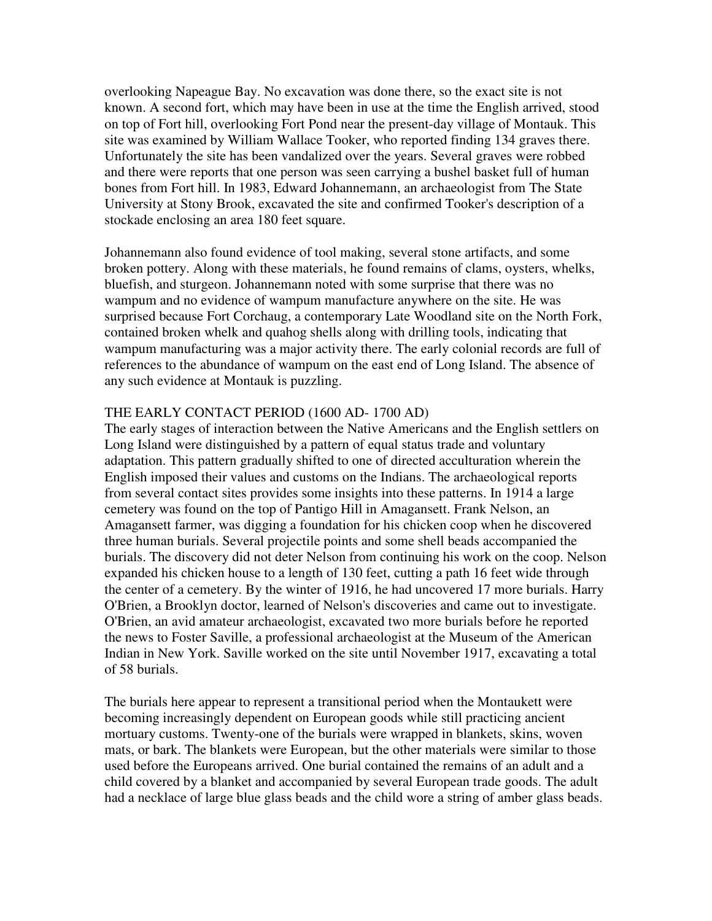overlooking Napeague Bay. No excavation was done there, so the exact site is not known. A second fort, which may have been in use at the time the English arrived, stood on top of Fort hill, overlooking Fort Pond near the present-day village of Montauk. This site was examined by William Wallace Tooker, who reported finding 134 graves there. Unfortunately the site has been vandalized over the years. Several graves were robbed and there were reports that one person was seen carrying a bushel basket full of human bones from Fort hill. In 1983, Edward Johannemann, an archaeologist from The State University at Stony Brook, excavated the site and confirmed Tooker's description of a stockade enclosing an area 180 feet square.

Johannemann also found evidence of tool making, several stone artifacts, and some broken pottery. Along with these materials, he found remains of clams, oysters, whelks, bluefish, and sturgeon. Johannemann noted with some surprise that there was no wampum and no evidence of wampum manufacture anywhere on the site. He was surprised because Fort Corchaug, a contemporary Late Woodland site on the North Fork, contained broken whelk and quahog shells along with drilling tools, indicating that wampum manufacturing was a major activity there. The early colonial records are full of references to the abundance of wampum on the east end of Long Island. The absence of any such evidence at Montauk is puzzling.

### THE EARLY CONTACT PERIOD (1600 AD- 1700 AD)

The early stages of interaction between the Native Americans and the English settlers on Long Island were distinguished by a pattern of equal status trade and voluntary adaptation. This pattern gradually shifted to one of directed acculturation wherein the English imposed their values and customs on the Indians. The archaeological reports from several contact sites provides some insights into these patterns. In 1914 a large cemetery was found on the top of Pantigo Hill in Amagansett. Frank Nelson, an Amagansett farmer, was digging a foundation for his chicken coop when he discovered three human burials. Several projectile points and some shell beads accompanied the burials. The discovery did not deter Nelson from continuing his work on the coop. Nelson expanded his chicken house to a length of 130 feet, cutting a path 16 feet wide through the center of a cemetery. By the winter of 1916, he had uncovered 17 more burials. Harry O'Brien, a Brooklyn doctor, learned of Nelson's discoveries and came out to investigate. O'Brien, an avid amateur archaeologist, excavated two more burials before he reported the news to Foster Saville, a professional archaeologist at the Museum of the American Indian in New York. Saville worked on the site until November 1917, excavating a total of 58 burials.

The burials here appear to represent a transitional period when the Montaukett were becoming increasingly dependent on European goods while still practicing ancient mortuary customs. Twenty-one of the burials were wrapped in blankets, skins, woven mats, or bark. The blankets were European, but the other materials were similar to those used before the Europeans arrived. One burial contained the remains of an adult and a child covered by a blanket and accompanied by several European trade goods. The adult had a necklace of large blue glass beads and the child wore a string of amber glass beads.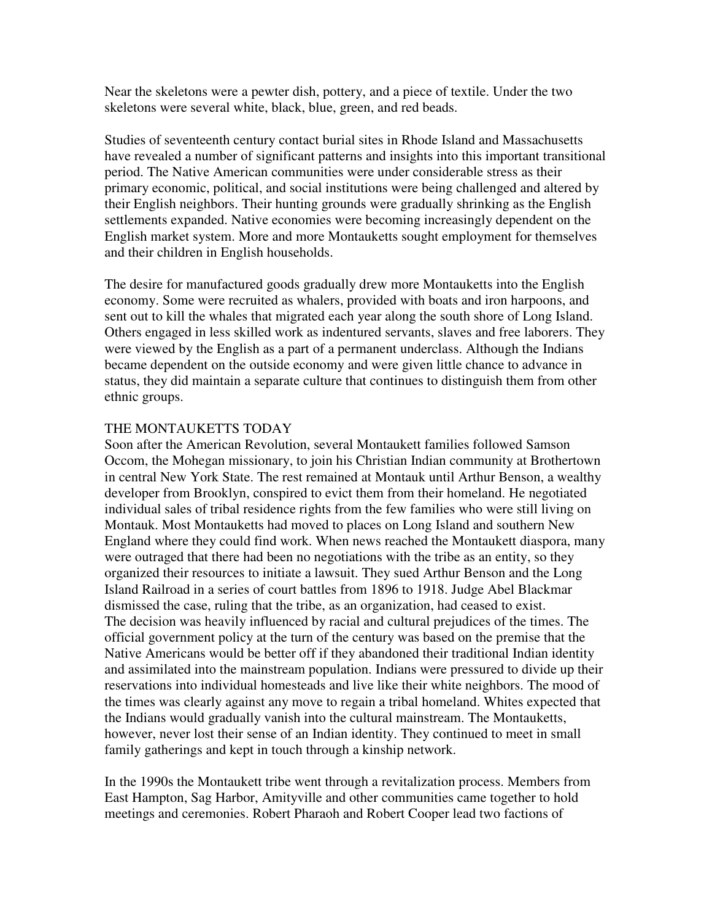Near the skeletons were a pewter dish, pottery, and a piece of textile. Under the two skeletons were several white, black, blue, green, and red beads.

Studies of seventeenth century contact burial sites in Rhode Island and Massachusetts have revealed a number of significant patterns and insights into this important transitional period. The Native American communities were under considerable stress as their primary economic, political, and social institutions were being challenged and altered by their English neighbors. Their hunting grounds were gradually shrinking as the English settlements expanded. Native economies were becoming increasingly dependent on the English market system. More and more Montauketts sought employment for themselves and their children in English households.

The desire for manufactured goods gradually drew more Montauketts into the English economy. Some were recruited as whalers, provided with boats and iron harpoons, and sent out to kill the whales that migrated each year along the south shore of Long Island. Others engaged in less skilled work as indentured servants, slaves and free laborers. They were viewed by the English as a part of a permanent underclass. Although the Indians became dependent on the outside economy and were given little chance to advance in status, they did maintain a separate culture that continues to distinguish them from other ethnic groups.

### THE MONTAUKETTS TODAY

Soon after the American Revolution, several Montaukett families followed Samson Occom, the Mohegan missionary, to join his Christian Indian community at Brothertown in central New York State. The rest remained at Montauk until Arthur Benson, a wealthy developer from Brooklyn, conspired to evict them from their homeland. He negotiated individual sales of tribal residence rights from the few families who were still living on Montauk. Most Montauketts had moved to places on Long Island and southern New England where they could find work. When news reached the Montaukett diaspora, many were outraged that there had been no negotiations with the tribe as an entity, so they organized their resources to initiate a lawsuit. They sued Arthur Benson and the Long Island Railroad in a series of court battles from 1896 to 1918. Judge Abel Blackmar dismissed the case, ruling that the tribe, as an organization, had ceased to exist. The decision was heavily influenced by racial and cultural prejudices of the times. The official government policy at the turn of the century was based on the premise that the Native Americans would be better off if they abandoned their traditional Indian identity and assimilated into the mainstream population. Indians were pressured to divide up their reservations into individual homesteads and live like their white neighbors. The mood of the times was clearly against any move to regain a tribal homeland. Whites expected that the Indians would gradually vanish into the cultural mainstream. The Montauketts, however, never lost their sense of an Indian identity. They continued to meet in small family gatherings and kept in touch through a kinship network.

In the 1990s the Montaukett tribe went through a revitalization process. Members from East Hampton, Sag Harbor, Amityville and other communities came together to hold meetings and ceremonies. Robert Pharaoh and Robert Cooper lead two factions of